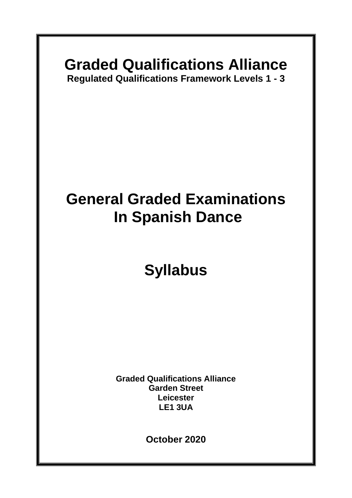### **Graded Qualifications Alliance**

**Regulated Qualifications Framework Levels 1 - 3**

# **General Graded Examinations In Spanish Dance**

# **Syllabus**

**Graded Qualifications Alliance Garden Street Leicester LE1 3UA**

**October 2020**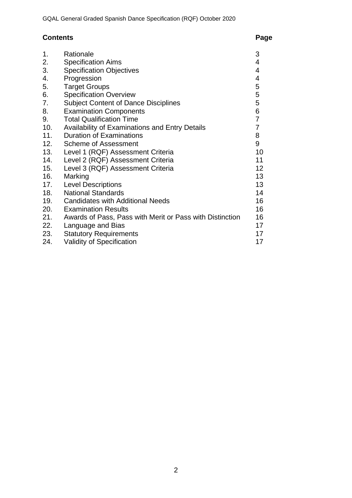### **Contents Page**

| 1.  | Rationale                                                | 3                        |
|-----|----------------------------------------------------------|--------------------------|
| 2.  | <b>Specification Aims</b>                                | 4                        |
| 3.  | <b>Specification Objectives</b>                          | 4                        |
| 4.  | Progression                                              | $\overline{\mathcal{A}}$ |
| 5.  | <b>Target Groups</b>                                     | $\frac{5}{5}$            |
| 6.  | <b>Specification Overview</b>                            |                          |
| 7.  | <b>Subject Content of Dance Disciplines</b>              | 5                        |
| 8.  | <b>Examination Components</b>                            | $\,6$                    |
| 9.  | <b>Total Qualification Time</b>                          | $\overline{7}$           |
| 10. | Availability of Examinations and Entry Details           | $\overline{7}$           |
| 11. | <b>Duration of Examinations</b>                          | 8                        |
| 12. | <b>Scheme of Assessment</b>                              | 9                        |
| 13. | Level 1 (RQF) Assessment Criteria                        | 10                       |
| 14. | Level 2 (RQF) Assessment Criteria                        | 11                       |
| 15. | Level 3 (RQF) Assessment Criteria                        | 12 <sub>2</sub>          |
| 16. | Marking                                                  | 13                       |
| 17. | <b>Level Descriptions</b>                                | 13                       |
| 18. | <b>National Standards</b>                                | 14                       |
| 19. | <b>Candidates with Additional Needs</b>                  | 16                       |
| 20. | <b>Examination Results</b>                               | 16                       |
| 21. | Awards of Pass, Pass with Merit or Pass with Distinction | 16                       |
| 22. | Language and Bias                                        | 17                       |
| 23. | <b>Statutory Requirements</b>                            | 17                       |
| 24. | <b>Validity of Specification</b>                         | 17                       |
|     |                                                          |                          |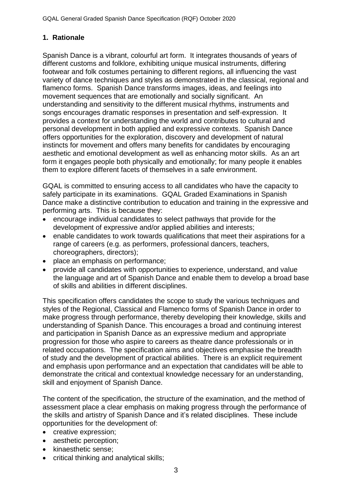#### **1. Rationale**

Spanish Dance is a vibrant, colourful art form. It integrates thousands of years of different customs and folklore, exhibiting unique musical instruments, differing footwear and folk costumes pertaining to different regions, all influencing the vast variety of dance techniques and styles as demonstrated in the classical, regional and flamenco forms. Spanish Dance transforms images, ideas, and feelings into movement sequences that are emotionally and socially significant. An understanding and sensitivity to the different musical rhythms, instruments and songs encourages dramatic responses in presentation and self-expression. It provides a context for understanding the world and contributes to cultural and personal development in both applied and expressive contexts. Spanish Dance offers opportunities for the exploration, discovery and development of natural instincts for movement and offers many benefits for candidates by encouraging aesthetic and emotional development as well as enhancing motor skills. As an art form it engages people both physically and emotionally; for many people it enables them to explore different facets of themselves in a safe environment.

GQAL is committed to ensuring access to all candidates who have the capacity to safely participate in its examinations. GQAL Graded Examinations in Spanish Dance make a distinctive contribution to education and training in the expressive and performing arts. This is because they:

- encourage individual candidates to select pathways that provide for the development of expressive and/or applied abilities and interests;
- enable candidates to work towards qualifications that meet their aspirations for a range of careers (e.g. as performers, professional dancers, teachers, choreographers, directors);
- place an emphasis on performance;
- provide all candidates with opportunities to experience, understand, and value the language and art of Spanish Dance and enable them to develop a broad base of skills and abilities in different disciplines.

This specification offers candidates the scope to study the various techniques and styles of the Regional, Classical and Flamenco forms of Spanish Dance in order to make progress through performance, thereby developing their knowledge, skills and understanding of Spanish Dance. This encourages a broad and continuing interest and participation in Spanish Dance as an expressive medium and appropriate progression for those who aspire to careers as theatre dance professionals or in related occupations. The specification aims and objectives emphasise the breadth of study and the development of practical abilities. There is an explicit requirement and emphasis upon performance and an expectation that candidates will be able to demonstrate the critical and contextual knowledge necessary for an understanding, skill and enjoyment of Spanish Dance.

The content of the specification, the structure of the examination, and the method of assessment place a clear emphasis on making progress through the performance of the skills and artistry of Spanish Dance and it's related disciplines. These include opportunities for the development of:

- creative expression;
- aesthetic perception;
- kinaesthetic sense;
- critical thinking and analytical skills;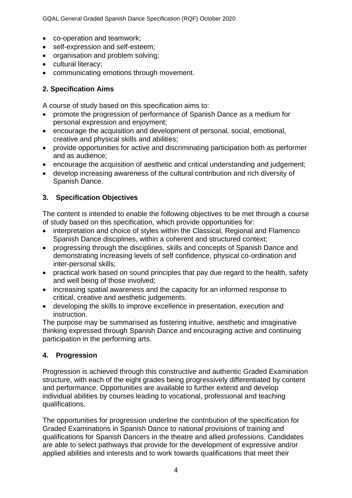GQAL General Graded Spanish Dance Specification (RQF) October 2020

- co-operation and teamwork;
- self-expression and self-esteem;
- organisation and problem solving;
- cultural literacy;
- communicating emotions through movement.

#### **2. Specification Aims**

A course of study based on this specification aims to:

- promote the progression of performance of Spanish Dance as a medium for personal expression and enjoyment;
- encourage the acquisition and development of personal, social, emotional, creative and physical skills and abilities;
- provide opportunities for active and discriminating participation both as performer and as audience;
- encourage the acquisition of aesthetic and critical understanding and judgement;
- develop increasing awareness of the cultural contribution and rich diversity of Spanish Dance.

#### **3. Specification Objectives**

The content is intended to enable the following objectives to be met through a course of study based on this specification, which provide opportunities for:

- interpretation and choice of styles within the Classical, Regional and Flamenco Spanish Dance disciplines, within a coherent and structured context;
- progressing through the disciplines, skills and concepts of Spanish Dance and demonstrating increasing levels of self confidence, physical co-ordination and inter-personal skills;
- practical work based on sound principles that pay due regard to the health, safety and well being of those involved;
- increasing spatial awareness and the capacity for an informed response to critical, creative and aesthetic judgements.
- developing the skills to improve excellence in presentation, execution and instruction.

The purpose may be summarised as fostering intuitive, aesthetic and imaginative thinking expressed through Spanish Dance and encouraging active and continuing participation in the performing arts.

#### **4. Progression**

Progression is achieved through this constructive and authentic Graded Examination structure, with each of the eight grades being progressively differentiated by content and performance. Opportunities are available to further extend and develop individual abilities by courses leading to vocational, professional and teaching qualifications.

The opportunities for progression underline the contribution of the specification for Graded Examinations in Spanish Dance to national provisions of training and qualifications for Spanish Dancers in the theatre and allied professions. Candidates are able to select pathways that provide for the development of expressive and/or applied abilities and interests and to work towards qualifications that meet their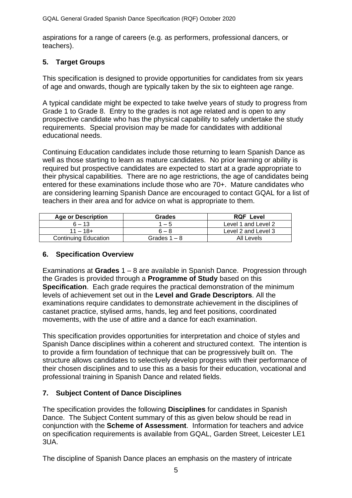aspirations for a range of careers (e.g. as performers, professional dancers, or teachers).

#### **5. Target Groups**

This specification is designed to provide opportunities for candidates from six years of age and onwards, though are typically taken by the six to eighteen age range.

A typical candidate might be expected to take twelve years of study to progress from Grade 1 to Grade 8. Entry to the grades is not age related and is open to any prospective candidate who has the physical capability to safely undertake the study requirements. Special provision may be made for candidates with additional educational needs.

Continuing Education candidates include those returning to learn Spanish Dance as well as those starting to learn as mature candidates. No prior learning or ability is required but prospective candidates are expected to start at a grade appropriate to their physical capabilities. There are no age restrictions, the age of candidates being entered for these examinations include those who are 70+. Mature candidates who are considering learning Spanish Dance are encouraged to contact GQAL for a list of teachers in their area and for advice on what is appropriate to them.

| Age or Description          | Grades         | <b>RQF Level</b>    |
|-----------------------------|----------------|---------------------|
| $6 - 13$                    | $1 - 5$        | Level 1 and Level 2 |
| 11 – 18+                    | $6 - 8$        | Level 2 and Level 3 |
| <b>Continuing Education</b> | Grades $1 - 8$ | All Levels          |

#### **6. Specification Overview**

Examinations at **Grades** 1 – 8 are available in Spanish Dance. Progression through the Grades is provided through a **Programme of Study** based on this **Specification**. Each grade requires the practical demonstration of the minimum levels of achievement set out in the **Level and Grade Descriptors**. All the examinations require candidates to demonstrate achievement in the disciplines of castanet practice, stylised arms, hands, leg and feet positions, coordinated movements, with the use of attire and a dance for each examination.

This specification provides opportunities for interpretation and choice of styles and Spanish Dance disciplines within a coherent and structured context. The intention is to provide a firm foundation of technique that can be progressively built on. The structure allows candidates to selectively develop progress with their performance of their chosen disciplines and to use this as a basis for their education, vocational and professional training in Spanish Dance and related fields.

#### **7. Subject Content of Dance Disciplines**

The specification provides the following **Disciplines** for candidates in Spanish Dance. The Subject Content summary of this as given below should be read in conjunction with the **Scheme of Assessment**. Information for teachers and advice on specification requirements is available from GQAL, Garden Street, Leicester LE1 3UA.

The discipline of Spanish Dance places an emphasis on the mastery of intricate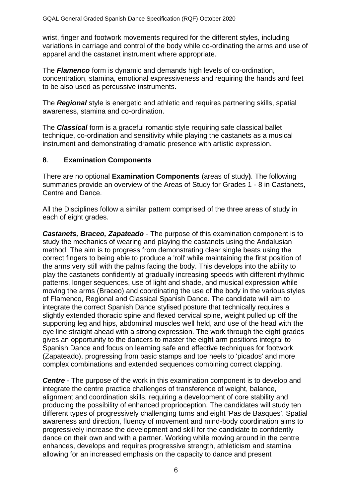wrist, finger and footwork movements required for the different styles, including variations in carriage and control of the body while co-ordinating the arms and use of apparel and the castanet instrument where appropriate.

The *Flamenco* form is dynamic and demands high levels of co-ordination, concentration, stamina, emotional expressiveness and requiring the hands and feet to be also used as percussive instruments.

The *Regional* style is energetic and athletic and requires partnering skills, spatial awareness, stamina and co-ordination.

The *Classical* form is a graceful romantic style requiring safe classical ballet technique, co-ordination and sensitivity while playing the castanets as a musical instrument and demonstrating dramatic presence with artistic expression.

#### **8**. **Examination Components**

There are no optional **Examination Components** (areas of study**)**. The following summaries provide an overview of the Areas of Study for Grades 1 - 8 in Castanets, Centre and Dance.

All the Disciplines follow a similar pattern comprised of the three areas of study in each of eight grades.

*Castanets, Braceo, Zapateado* - The purpose of this examination component is to study the mechanics of wearing and playing the castanets using the Andalusian method. The aim is to progress from demonstrating clear single beats using the correct fingers to being able to produce a 'roll' while maintaining the first position of the arms very still with the palms facing the body. This develops into the ability to play the castanets confidently at gradually increasing speeds with different rhythmic patterns, longer sequences, use of light and shade, and musical expression while moving the arms (Braceo) and coordinating the use of the body in the various styles of Flamenco, Regional and Classical Spanish Dance. The candidate will aim to integrate the correct Spanish Dance stylised posture that technically requires a slightly extended thoracic spine and flexed cervical spine, weight pulled up off the supporting leg and hips, abdominal muscles well held, and use of the head with the eye line straight ahead with a strong expression. The work through the eight grades gives an opportunity to the dancers to master the eight arm positions integral to Spanish Dance and focus on learning safe and effective techniques for footwork (Zapateado), progressing from basic stamps and toe heels to 'picados' and more complex combinations and extended sequences combining correct clapping.

*Centre* - The purpose of the work in this examination component is to develop and integrate the centre practice challenges of transference of weight, balance, alignment and coordination skills, requiring a development of core stability and producing the possibility of enhanced proprioception. The candidates will study ten different types of progressively challenging turns and eight 'Pas de Basques'. Spatial awareness and direction, fluency of movement and mind-body coordination aims to progressively increase the development and skill for the candidate to confidently dance on their own and with a partner. Working while moving around in the centre enhances, develops and requires progressive strength, athleticism and stamina allowing for an increased emphasis on the capacity to dance and present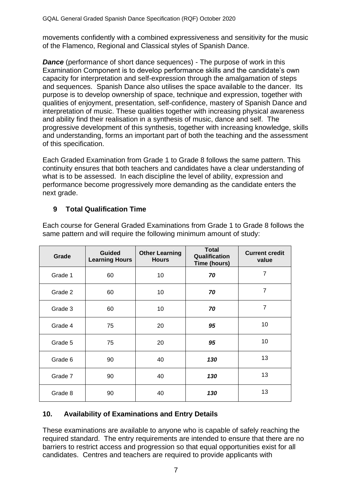movements confidently with a combined expressiveness and sensitivity for the music of the Flamenco, Regional and Classical styles of Spanish Dance.

*Dance* (performance of short dance sequences) - The purpose of work in this Examination Component is to develop performance skills and the candidate's own capacity for interpretation and self-expression through the amalgamation of steps and sequences.Spanish Dance also utilises the space available to the dancer. Its purpose is to develop ownership of space, technique and expression, together with qualities of enjoyment, presentation, self-confidence, mastery of Spanish Dance and interpretation of music. These qualities together with increasing physical awareness and ability find their realisation in a synthesis of music, dance and self. The progressive development of this synthesis, together with increasing knowledge, skills and understanding, forms an important part of both the teaching and the assessment of this specification.

Each Graded Examination from Grade 1 to Grade 8 follows the same pattern. This continuity ensures that both teachers and candidates have a clear understanding of what is to be assessed. In each discipline the level of ability, expression and performance become progressively more demanding as the candidate enters the next grade.

#### **9 Total Qualification Time**

| Grade   | <b>Guided</b><br><b>Learning Hours</b> | <b>Other Learning</b><br><b>Hours</b> | <b>Total</b><br>Qualification<br>Time (hours) | <b>Current credit</b><br>value |
|---------|----------------------------------------|---------------------------------------|-----------------------------------------------|--------------------------------|
| Grade 1 | 60                                     | 10                                    | 70                                            | $\overline{7}$                 |
| Grade 2 | 60                                     | 10                                    | 70                                            | $\overline{7}$                 |
| Grade 3 | 60                                     | 10                                    | 70                                            | $\overline{7}$                 |
| Grade 4 | 75                                     | 20                                    | 95                                            | 10                             |
| Grade 5 | 75                                     | 20                                    | 95                                            | 10                             |
| Grade 6 | 90                                     | 40                                    | 130                                           | 13                             |
| Grade 7 | 90                                     | 40                                    | 130                                           | 13                             |
| Grade 8 | 90                                     | 40                                    | 130                                           | 13                             |

Each course for General Graded Examinations from Grade 1 to Grade 8 follows the same pattern and will require the following minimum amount of study:

#### **10. Availability of Examinations and Entry Details**

These examinations are available to anyone who is capable of safely reaching the required standard. The entry requirements are intended to ensure that there are no barriers to restrict access and progression so that equal opportunities exist for all candidates. Centres and teachers are required to provide applicants with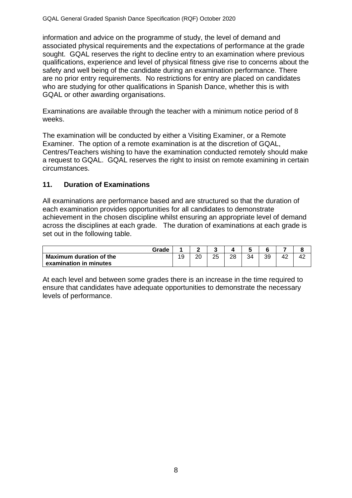information and advice on the programme of study, the level of demand and associated physical requirements and the expectations of performance at the grade sought. GQAL reserves the right to decline entry to an examination where previous qualifications, experience and level of physical fitness give rise to concerns about the safety and well being of the candidate during an examination performance*.* There are no prior entry requirements. No restrictions for entry are placed on candidates who are studying for other qualifications in Spanish Dance, whether this is with GQAL or other awarding organisations.

Examinations are available through the teacher with a minimum notice period of 8 weeks.

The examination will be conducted by either a Visiting Examiner, or a Remote Examiner. The option of a remote examination is at the discretion of GQAL, Centres/Teachers wishing to have the examination conducted remotely should make a request to GQAL. GQAL reserves the right to insist on remote examining in certain circumstances.

#### **11. Duration of Examinations**

All examinations are performance based and are structured so that the duration of each examination provides opportunities for all candidates to demonstrate achievement in the chosen discipline whilst ensuring an appropriate level of demand across the disciplines at each grade. The duration of examinations at each grade is set out in the following table.

| Grade                          |         |          |    |          |    |    |    | Ω  |
|--------------------------------|---------|----------|----|----------|----|----|----|----|
| <b>Maximum duration of the</b> | 10<br>ັ | ററ<br>∠∪ | 25 | ററ<br>∠⊂ | 34 | 39 | 42 | 42 |
| examination in minutes         |         |          |    |          |    |    |    |    |

At each level and between some grades there is an increase in the time required to ensure that candidates have adequate opportunities to demonstrate the necessary levels of performance.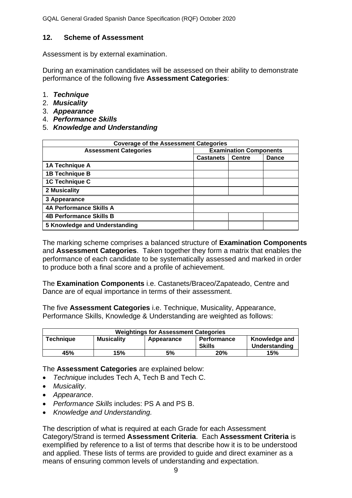#### **12. Scheme of Assessment**

Assessment is by external examination.

During an examination candidates will be assessed on their ability to demonstrate performance of the following five **Assessment Categories**:

- 1. *Technique*
- 2. *Musicality*
- 3. *Appearance*
- 4. *Performance Skills*
- 5. *Knowledge and Understanding*

| <b>Coverage of the Assessment Categories</b> |                               |               |              |  |  |
|----------------------------------------------|-------------------------------|---------------|--------------|--|--|
| <b>Assessment Categories</b>                 | <b>Examination Components</b> |               |              |  |  |
|                                              | <b>Castanets</b>              | <b>Centre</b> | <b>Dance</b> |  |  |
| 1A Technique A                               |                               |               |              |  |  |
| <b>1B Technique B</b>                        |                               |               |              |  |  |
| 1C Technique C                               |                               |               |              |  |  |
| 2 Musicality                                 |                               |               |              |  |  |
| 3 Appearance                                 |                               |               |              |  |  |
| <b>4A Performance Skills A</b>               |                               |               |              |  |  |
| <b>4B Performance Skills B</b>               |                               |               |              |  |  |
| 5 Knowledge and Understanding                |                               |               |              |  |  |

The marking scheme comprises a balanced structure of **Examination Components** and **Assessment Categories**. Taken together they form a matrix that enables the performance of each candidate to be systematically assessed and marked in order to produce both a final score and a profile of achievement.

The **Examination Components** i.e. Castanets/Braceo/Zapateado, Centre and Dance are of equal importance in terms of their assessment.

The five **Assessment Categories** i.e. Technique, Musicality, Appearance, Performance Skills, Knowledge & Understanding are weighted as follows:

| <b>Weightings for Assessment Categories</b> |                   |            |                              |                                |  |  |
|---------------------------------------------|-------------------|------------|------------------------------|--------------------------------|--|--|
| <b>Technique</b>                            | <b>Musicality</b> | Appearance | <b>Performance</b><br>Skills | Knowledge and<br>Understanding |  |  |
| 45%                                         | 15%               | 5%         | 20%                          | 15%                            |  |  |

The **Assessment Categories** are explained below:

- *Technique* includes Tech A, Tech B and Tech C.
- *Musicality*.
- *Appearance*.
- *Performance Skills* includes: PS A and PS B.
- *Knowledge and Understanding.*

The description of what is required at each Grade for each Assessment Category/Strand is termed **Assessment Criteria**. Each **Assessment Criteria** is exemplified by reference to a list of terms that describe how it is to be understood and applied. These lists of terms are provided to guide and direct examiner as a means of ensuring common levels of understanding and expectation.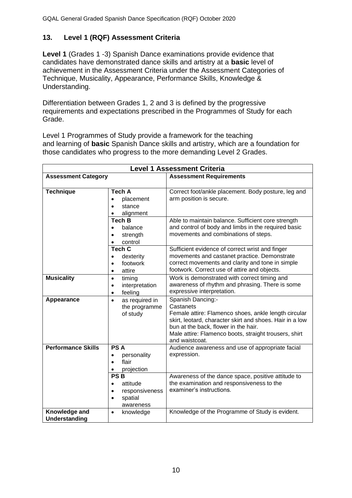#### **13. Level 1 (RQF) Assessment Criteria**

**Level 1** (Grades 1 -3) Spanish Dance examinations provide evidence that candidates have demonstrated dance skills and artistry at a **basic** level of achievement in the Assessment Criteria under the Assessment Categories of Technique, Musicality, Appearance, Performance Skills, Knowledge & Understanding.

Differentiation between Grades 1, 2 and 3 is defined by the progressive requirements and expectations prescribed in the Programmes of Study for each Grade.

Level 1 Programmes of Study provide a framework for the teaching and learning of **basic** Spanish Dance skills and artistry, which are a foundation for those candidates who progress to the more demanding Level 2 Grades.

| <b>Level 1 Assessment Criteria</b> |                                                                                                         |                                                                                                                                                                                                                                                                       |  |  |  |  |
|------------------------------------|---------------------------------------------------------------------------------------------------------|-----------------------------------------------------------------------------------------------------------------------------------------------------------------------------------------------------------------------------------------------------------------------|--|--|--|--|
| <b>Assessment Category</b>         |                                                                                                         | <b>Assessment Requirements</b>                                                                                                                                                                                                                                        |  |  |  |  |
| <b>Technique</b>                   | <b>Tech A</b><br>placement<br>$\bullet$<br>stance<br>alignment                                          | Correct foot/ankle placement. Body posture, leg and<br>arm position is secure.                                                                                                                                                                                        |  |  |  |  |
|                                    | <b>Tech B</b><br>balance<br>$\bullet$<br>strength<br>$\bullet$<br>control                               | Able to maintain balance. Sufficient core strength<br>and control of body and limbs in the required basic<br>movements and combinations of steps.                                                                                                                     |  |  |  |  |
|                                    | <b>Tech C</b><br>dexterity<br>$\bullet$<br>footwork<br>$\bullet$<br>attire<br>$\bullet$                 | Sufficient evidence of correct wrist and finger<br>movements and castanet practice. Demonstrate<br>correct movements and clarity and tone in simple<br>footwork. Correct use of attire and objects.                                                                   |  |  |  |  |
| <b>Musicality</b>                  | timing<br>$\bullet$<br>interpretation<br>$\bullet$<br>feeling<br>$\bullet$                              | Work is demonstrated with correct timing and<br>awareness of rhythm and phrasing. There is some<br>expressive interpretation.                                                                                                                                         |  |  |  |  |
| Appearance                         | as required in<br>$\bullet$<br>the programme<br>of study                                                | Spanish Dancing:-<br>Castanets<br>Female attire: Flamenco shoes, ankle length circular<br>skirt, leotard, character skirt and shoes. Hair in a low<br>bun at the back, flower in the hair.<br>Male attire: Flamenco boots, straight trousers, shirt<br>and waistcoat. |  |  |  |  |
| <b>Performance Skills</b>          | <b>PSA</b><br>personality<br>$\bullet$<br>flair<br>$\bullet$<br>projection<br>$\bullet$                 | Audience awareness and use of appropriate facial<br>expression.                                                                                                                                                                                                       |  |  |  |  |
|                                    | <b>PSB</b><br>attitude<br>$\bullet$<br>responsiveness<br>$\bullet$<br>spatial<br>$\bullet$<br>awareness | Awareness of the dance space, positive attitude to<br>the examination and responsiveness to the<br>examiner's instructions.                                                                                                                                           |  |  |  |  |
| Knowledge and<br>Understanding     | knowledge<br>$\bullet$                                                                                  | Knowledge of the Programme of Study is evident.                                                                                                                                                                                                                       |  |  |  |  |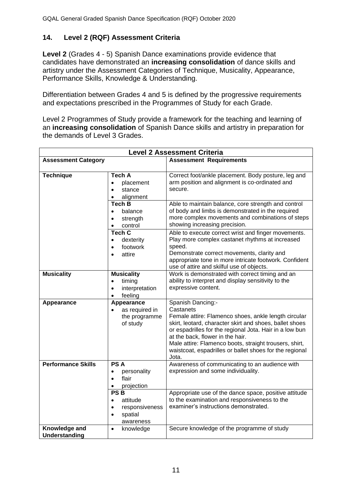#### **14. Level 2 (RQF) Assessment Criteria**

**Level 2** (Grades 4 - 5) Spanish Dance examinations provide evidence that candidates have demonstrated an **increasing consolidation** of dance skills and artistry under the Assessment Categories of Technique, Musicality, Appearance, Performance Skills, Knowledge & Understanding.

Differentiation between Grades 4 and 5 is defined by the progressive requirements and expectations prescribed in the Programmes of Study for each Grade.

Level 2 Programmes of Study provide a framework for the teaching and learning of an **increasing consolidation** of Spanish Dance skills and artistry in preparation for the demands of Level 3 Grades.

|                                | <b>Level 2 Assessment Criteria</b>                                                                      |                                                                                                                                                                                                                                                                                                                                                                                |  |  |  |  |
|--------------------------------|---------------------------------------------------------------------------------------------------------|--------------------------------------------------------------------------------------------------------------------------------------------------------------------------------------------------------------------------------------------------------------------------------------------------------------------------------------------------------------------------------|--|--|--|--|
| <b>Assessment Category</b>     |                                                                                                         | <b>Assessment Requirements</b>                                                                                                                                                                                                                                                                                                                                                 |  |  |  |  |
| <b>Technique</b>               | <b>Tech A</b><br>placement<br>$\bullet$<br>stance<br>$\bullet$<br>alignment<br>$\bullet$                | Correct foot/ankle placement. Body posture, leg and<br>arm position and alignment is co-ordinated and<br>secure.                                                                                                                                                                                                                                                               |  |  |  |  |
|                                | <b>Tech B</b><br>balance<br>$\bullet$<br>strength<br>$\bullet$<br>control<br>$\bullet$                  | Able to maintain balance, core strength and control<br>of body and limbs is demonstrated in the required<br>more complex movements and combinations of steps<br>showing increasing precision.                                                                                                                                                                                  |  |  |  |  |
|                                | <b>Tech C</b><br>dexterity<br>$\bullet$<br>footwork<br>$\bullet$<br>attire<br>$\bullet$                 | Able to execute correct wrist and finger movements.<br>Play more complex castanet rhythms at increased<br>speed.<br>Demonstrate correct movements, clarity and<br>appropriate tone in more intricate footwork. Confident<br>use of attire and skilful use of objects.                                                                                                          |  |  |  |  |
| <b>Musicality</b>              | <b>Musicality</b><br>timing<br>$\bullet$<br>interpretation<br>$\bullet$<br>feeling<br>$\bullet$         | Work is demonstrated with correct timing and an<br>ability to interpret and display sensitivity to the<br>expressive content.                                                                                                                                                                                                                                                  |  |  |  |  |
| Appearance                     | Appearance<br>as required in<br>$\bullet$<br>the programme<br>of study                                  | Spanish Dancing:-<br>Castanets<br>Female attire: Flamenco shoes, ankle length circular<br>skirt, leotard, character skirt and shoes, ballet shoes<br>or espadrilles for the regional Jota. Hair in a low bun<br>at the back, flower in the hair.<br>Male attire: Flamenco boots, straight trousers, shirt,<br>waistcoat, espadrilles or ballet shoes for the regional<br>Jota. |  |  |  |  |
| <b>Performance Skills</b>      | <b>PSA</b><br>personality<br>$\bullet$<br>flair<br>$\bullet$<br>projection<br>٠                         | Awareness of communicating to an audience with<br>expression and some individuality.                                                                                                                                                                                                                                                                                           |  |  |  |  |
|                                | <b>PSB</b><br>attitude<br>$\bullet$<br>responsiveness<br>$\bullet$<br>spatial<br>$\bullet$<br>awareness | Appropriate use of the dance space, positive attitude<br>to the examination and responsiveness to the<br>examiner's instructions demonstrated.                                                                                                                                                                                                                                 |  |  |  |  |
| Knowledge and<br>Understanding | knowledge<br>$\bullet$                                                                                  | Secure knowledge of the programme of study                                                                                                                                                                                                                                                                                                                                     |  |  |  |  |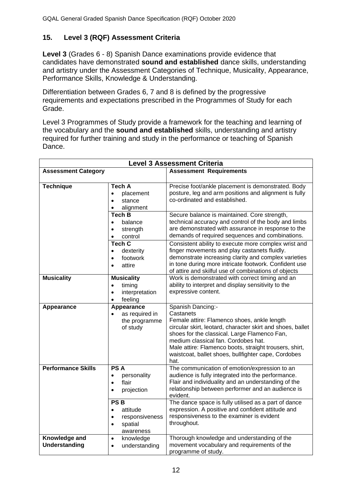#### **15. Level 3 (RQF) Assessment Criteria**

**Level 3** (Grades 6 - 8) Spanish Dance examinations provide evidence that candidates have demonstrated **sound and established** dance skills, understanding and artistry under the Assessment Categories of Technique, Musicality, Appearance, Performance Skills, Knowledge & Understanding.

Differentiation between Grades 6, 7 and 8 is defined by the progressive requirements and expectations prescribed in the Programmes of Study for each Grade.

Level 3 Programmes of Study provide a framework for the teaching and learning of the vocabulary and the **sound and established** skills, understanding and artistry required for further training and study in the performance or teaching of Spanish Dance.

|                                       | <b>Level 3 Assessment Criteria</b>                                                                      |                                                                                                                                                                                                                                                                                                                                                             |  |  |  |  |
|---------------------------------------|---------------------------------------------------------------------------------------------------------|-------------------------------------------------------------------------------------------------------------------------------------------------------------------------------------------------------------------------------------------------------------------------------------------------------------------------------------------------------------|--|--|--|--|
| <b>Assessment Category</b>            |                                                                                                         | <b>Assessment Requirements</b>                                                                                                                                                                                                                                                                                                                              |  |  |  |  |
| <b>Technique</b>                      | <b>Tech A</b><br>placement<br>$\bullet$<br>stance<br>$\bullet$<br>alignment<br>$\bullet$                | Precise foot/ankle placement is demonstrated. Body<br>posture, leg and arm positions and alignment is fully<br>co-ordinated and established.                                                                                                                                                                                                                |  |  |  |  |
|                                       | <b>Tech B</b><br>balance<br>$\bullet$<br>strength<br>$\bullet$<br>control<br>$\bullet$                  | Secure balance is maintained. Core strength,<br>technical accuracy and control of the body and limbs<br>are demonstrated with assurance in response to the<br>demands of required sequences and combinations.                                                                                                                                               |  |  |  |  |
|                                       | <b>Tech C</b><br>dexterity<br>$\bullet$<br>footwork<br>$\bullet$<br>attire<br>$\bullet$                 | Consistent ability to execute more complex wrist and<br>finger movements and play castanets fluidly.<br>demonstrate increasing clarity and complex varieties<br>in tone during more intricate footwork. Confident use<br>of attire and skilful use of combinations of objects                                                                               |  |  |  |  |
| <b>Musicality</b>                     | <b>Musicality</b><br>timing<br>$\bullet$<br>interpretation<br>$\bullet$<br>feeling<br>$\bullet$         | Work is demonstrated with correct timing and an<br>ability to interpret and display sensitivity to the<br>expressive content.                                                                                                                                                                                                                               |  |  |  |  |
| Appearance                            | Appearance<br>as required in<br>the programme<br>of study                                               | Spanish Dancing:-<br>Castanets<br>Female attire: Flamenco shoes, ankle length<br>circular skirt, leotard, character skirt and shoes, ballet<br>shoes for the classical. Large Flamenco Fan,<br>medium classical fan. Cordobes hat.<br>Male attire: Flamenco boots, straight trousers, shirt,<br>waistcoat, ballet shoes, bullfighter cape, Cordobes<br>hat. |  |  |  |  |
| <b>Performance Skills</b>             | <b>PSA</b><br>personality<br>$\bullet$<br>flair<br>$\bullet$<br>projection<br>$\bullet$                 | The communication of emotion/expression to an<br>audience is fully integrated into the performance.<br>Flair and individuality and an understanding of the<br>relationship between performer and an audience is<br>evident.                                                                                                                                 |  |  |  |  |
|                                       | <b>PSB</b><br>attitude<br>$\bullet$<br>responsiveness<br>$\bullet$<br>spatial<br>$\bullet$<br>awareness | The dance space is fully utilised as a part of dance<br>expression. A positive and confident attitude and<br>responsiveness to the examiner is evident<br>throughout.                                                                                                                                                                                       |  |  |  |  |
| Knowledge and<br><b>Understanding</b> | knowledge<br>$\bullet$<br>understanding<br>$\bullet$                                                    | Thorough knowledge and understanding of the<br>movement vocabulary and requirements of the<br>programme of study.                                                                                                                                                                                                                                           |  |  |  |  |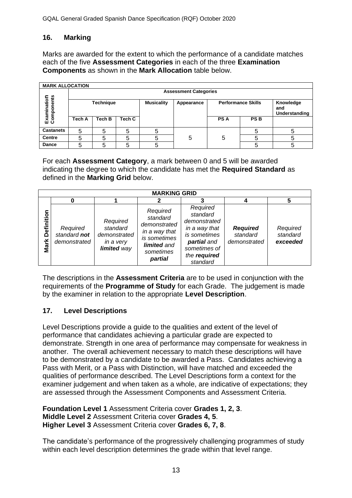#### **16. Marking**

Marks are awarded for the extent to which the performance of a candidate matches each of the five **Assessment Categories** in each of the three **Examination Components** as shown in the **Mark Allocation** table below.

| <b>MARK ALLOCATION</b>    |        |                              |        |                   |            |                           |            |                                   |  |  |  |  |
|---------------------------|--------|------------------------------|--------|-------------------|------------|---------------------------|------------|-----------------------------------|--|--|--|--|
|                           |        | <b>Assessment Categories</b> |        |                   |            |                           |            |                                   |  |  |  |  |
| Examination<br>Components |        | <b>Technique</b>             |        | <b>Musicality</b> | Appearance | <b>Performance Skills</b> |            | Knowledge<br>and<br>Understanding |  |  |  |  |
|                           | Tech A | Tech B                       | Tech C |                   |            | <b>PSA</b>                | <b>PSB</b> |                                   |  |  |  |  |
| <b>Castanets</b>          | 5      | 5                            | 5      | 5                 |            |                           |            |                                   |  |  |  |  |
| <b>Centre</b>             | 5      | 5                            | 5      | 5                 | 5          | 5                         |            |                                   |  |  |  |  |
| Dance                     | 5      | 5                            | 5      | 5                 |            |                           |            |                                   |  |  |  |  |

For each **Assessment Category**, a mark between 0 and 5 will be awarded indicating the degree to which the candidate has met the **Required Standard** as defined in the **Marking Grid** below.

| <b>MARKING GRID</b> |                                          |                                                                  |                                                                                                              |                                                                                                                                  |                                             |                                  |  |
|---------------------|------------------------------------------|------------------------------------------------------------------|--------------------------------------------------------------------------------------------------------------|----------------------------------------------------------------------------------------------------------------------------------|---------------------------------------------|----------------------------------|--|
|                     |                                          |                                                                  |                                                                                                              |                                                                                                                                  |                                             |                                  |  |
| Definition<br>Mark  | Required<br>standard not<br>demonstrated | Required<br>standard<br>demonstrated<br>in a very<br>limited way | Required<br>standard<br>demonstrated<br>in a way that<br>is sometimes<br>limited and<br>sometimes<br>partial | Required<br>standard<br>demonstrated<br>in a way that<br>is sometimes<br>partial and<br>sometimes of<br>the required<br>standard | <b>Required</b><br>standard<br>demonstrated | Required<br>standard<br>exceeded |  |

The descriptions in the **Assessment Criteria** are to be used in conjunction with the requirements of the **Programme of Study** for each Grade. The judgement is made by the examiner in relation to the appropriate **Level Description**.

#### **17. Level Descriptions**

Level Descriptions provide a guide to the qualities and extent of the level of performance that candidates achieving a particular grade are expected to demonstrate. Strength in one area of performance may compensate for weakness in another. The overall achievement necessary to match these descriptions will have to be demonstrated by a candidate to be awarded a Pass. Candidates achieving a Pass with Merit, or a Pass with Distinction, will have matched and exceeded the qualities of performance described. The Level Descriptions form a context for the examiner judgement and when taken as a whole, are indicative of expectations; they are assessed through the Assessment Components and Assessment Criteria.

**Foundation Level 1** Assessment Criteria cover **Grades 1, 2, 3**. **Middle Level 2** Assessment Criteria cover **Grades 4, 5**. **Higher Level 3** Assessment Criteria cover **Grades 6, 7, 8**.

The candidate's performance of the progressively challenging programmes of study within each level description determines the grade within that level range.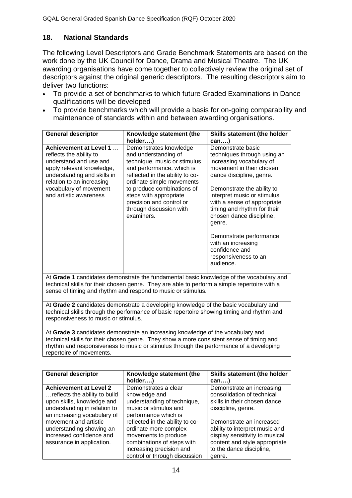#### **18. National Standards**

The following Level Descriptors and Grade Benchmark Statements are based on the work done by the UK Council for Dance, Drama and Musical Theatre. The UK awarding organisations have come together to collectively review the original set of descriptors against the original generic descriptors. The resulting descriptors aim to deliver two functions:

- To provide a set of benchmarks to which future Graded Examinations in Dance qualifications will be developed
- To provide benchmarks which will provide a basis for on-going comparability and maintenance of standards within and between awarding organisations.

| <b>General descriptor</b>                                                                                                                                                                                                                               | Knowledge statement (the                                                                                                                                                                                                                                                                                 | Skills statement (the holder                                                                                                                                                                                                                                                                          |  |  |  |  |
|---------------------------------------------------------------------------------------------------------------------------------------------------------------------------------------------------------------------------------------------------------|----------------------------------------------------------------------------------------------------------------------------------------------------------------------------------------------------------------------------------------------------------------------------------------------------------|-------------------------------------------------------------------------------------------------------------------------------------------------------------------------------------------------------------------------------------------------------------------------------------------------------|--|--|--|--|
|                                                                                                                                                                                                                                                         | holder                                                                                                                                                                                                                                                                                                   | can)                                                                                                                                                                                                                                                                                                  |  |  |  |  |
| <b>Achievement at Level 1</b><br>reflects the ability to<br>understand and use and<br>apply relevant knowledge,<br>understanding and skills in<br>relation to an increasing<br>vocabulary of movement<br>and artistic awareness                         | Demonstrates knowledge<br>and understanding of<br>technique, music or stimulus<br>and performance, which is<br>reflected in the ability to co-<br>ordinate simple movements<br>to produce combinations of<br>steps with appropriate<br>precision and control or<br>through discussion with<br>examiners. | Demonstrate basic<br>techniques through using an<br>increasing vocabulary of<br>movement in their chosen<br>dance discipline, genre.<br>Demonstrate the ability to<br>interpret music or stimulus<br>with a sense of appropriate<br>timing and rhythm for their<br>chosen dance discipline,<br>genre. |  |  |  |  |
|                                                                                                                                                                                                                                                         |                                                                                                                                                                                                                                                                                                          | Demonstrate performance<br>with an increasing<br>confidence and<br>responsiveness to an<br>audience.                                                                                                                                                                                                  |  |  |  |  |
| At Grade 1 candidates demonstrate the fundamental basic knowledge of the vocabulary and<br>technical skills for their chosen genre. They are able to perform a simple repertoire with a<br>sense of timing and rhythm and respond to music or stimulus. |                                                                                                                                                                                                                                                                                                          |                                                                                                                                                                                                                                                                                                       |  |  |  |  |

At **Grade 2** candidates demonstrate a developing knowledge of the basic vocabulary and technical skills through the performance of basic repertoire showing timing and rhythm and responsiveness to music or stimulus.

At **Grade 3** candidates demonstrate an increasing knowledge of the vocabulary and technical skills for their chosen genre. They show a more consistent sense of timing and rhythm and responsiveness to music or stimulus through the performance of a developing repertoire of movements.

| <b>General descriptor</b>     | Knowledge statement (the        | Skills statement (the holder   |
|-------------------------------|---------------------------------|--------------------------------|
|                               | holder)                         | can                            |
| <b>Achievement at Level 2</b> | Demonstrates a clear            | Demonstrate an increasing      |
| reflects the ability to build | knowledge and                   | consolidation of technical     |
| upon skills, knowledge and    | understanding of technique,     | skills in their chosen dance   |
| understanding in relation to  | music or stimulus and           | discipline, genre.             |
| an increasing vocabulary of   | performance which is            |                                |
| movement and artistic         | reflected in the ability to co- | Demonstrate an increased       |
| understanding showing an      | ordinate more complex           | ability to interpret music and |
| increased confidence and      | movements to produce            | display sensitivity to musical |
| assurance in application.     | combinations of steps with      | content and style appropriate  |
|                               | increasing precision and        | to the dance discipline,       |
|                               | control or through discussion   | genre.                         |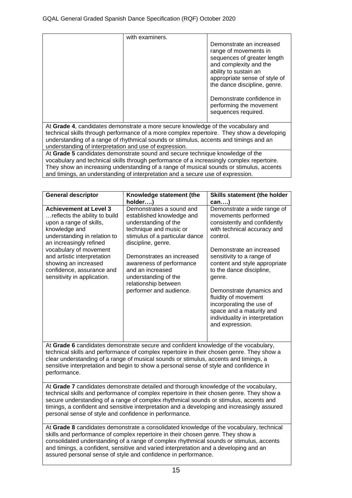| with examiners.<br>Demonstrate an increased<br>range of movements in<br>sequences of greater length<br>and complexity and the<br>ability to sustain an<br>appropriate sense of style of<br>the dance discipline, genre. | Demonstrate confidence in<br>performing the movement<br>sequences required. |
|-------------------------------------------------------------------------------------------------------------------------------------------------------------------------------------------------------------------------|-----------------------------------------------------------------------------|
|-------------------------------------------------------------------------------------------------------------------------------------------------------------------------------------------------------------------------|-----------------------------------------------------------------------------|

At **Grade 4**, candidates demonstrate a more secure knowledge of the vocabulary and technical skills through performance of a more complex repertoire. They show a developing understanding of a range of rhythmical sounds or stimulus, accents and timings and an understanding of interpretation and use of expression.

At **Grade 5** candidates demonstrate sound and secure technique knowledge of the vocabulary and technical skills through performance of a increasingly complex repertoire. They show an increasing understanding of a range of musical sounds or stimulus, accents and timings, an understanding of interpretation and a secure use of expression.

| <b>General descriptor</b>                                                                                                                                                                                                                                                                                                                                                                                                           | Knowledge statement (the<br>holder)                                                                                                                             | Skills statement (the holder<br>can)                                                                                                                           |  |  |
|-------------------------------------------------------------------------------------------------------------------------------------------------------------------------------------------------------------------------------------------------------------------------------------------------------------------------------------------------------------------------------------------------------------------------------------|-----------------------------------------------------------------------------------------------------------------------------------------------------------------|----------------------------------------------------------------------------------------------------------------------------------------------------------------|--|--|
| <b>Achievement at Level 3</b><br>reflects the ability to build<br>upon a range of skills,<br>knowledge and<br>understanding in relation to<br>an increasingly refined<br>vocabulary of movement<br>and artistic interpretation<br>showing an increased<br>confidence, assurance and<br>sensitivity in application.                                                                                                                  | Demonstrates a sound and<br>established knowledge and<br>understanding of the<br>technique and music or<br>stimulus of a particular dance<br>discipline, genre. | Demonstrate a wide range of<br>movements performed<br>consistently and confidently<br>with technical accuracy and<br>control.                                  |  |  |
|                                                                                                                                                                                                                                                                                                                                                                                                                                     | Demonstrates an increased<br>awareness of performance<br>and an increased<br>understanding of the<br>relationship between<br>performer and audience.            | Demonstrate an increased<br>sensitivity to a range of<br>content and style appropriate<br>to the dance discipline,<br>genre.                                   |  |  |
|                                                                                                                                                                                                                                                                                                                                                                                                                                     |                                                                                                                                                                 | Demonstrate dynamics and<br>fluidity of movement<br>incorporating the use of<br>space and a maturity and<br>individuality in interpretation<br>and expression. |  |  |
| At Grade 6 candidates demonstrate secure and confident knowledge of the vocabulary,<br>technical skills and performance of complex repertoire in their chosen genre. They show a<br>clear understanding of a range of musical sounds or stimulus, accents and timings, a<br>sensitive interpretation and begin to show a personal sense of style and confidence in<br>performance.                                                  |                                                                                                                                                                 |                                                                                                                                                                |  |  |
| At Grade 7 candidates demonstrate detailed and thorough knowledge of the vocabulary,<br>technical skills and performance of complex repertoire in their chosen genre. They show a<br>secure understanding of a range of complex rhythmical sounds or stimulus, accents and<br>timings, a confident and sensitive interpretation and a developing and increasingly assured<br>personal sense of style and confidence in performance. |                                                                                                                                                                 |                                                                                                                                                                |  |  |
| At Grade 8 candidates demonstrate a consolidated knowledge of the vocabulary, technical<br>skills and performance of complex repertoire in their chosen genre. They show a<br>consolidated understanding of a range of complex rhythmical sounds or stimulus, accents<br>and timings, a confident, sensitive and varied interpretation and a developing and an<br>assured personal sense of style and confidence in performance.    |                                                                                                                                                                 |                                                                                                                                                                |  |  |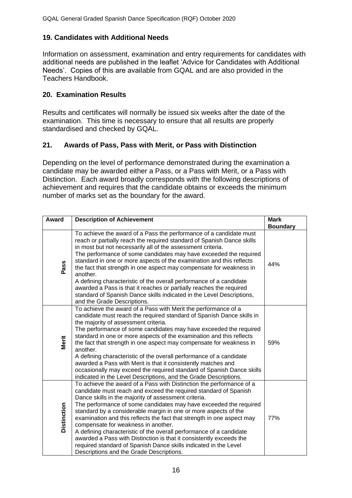#### **19. Candidates with Additional Needs**

Information on assessment, examination and entry requirements for candidates with additional needs are published in the leaflet 'Advice for Candidates with Additional Needs'. Copies of this are available from GQAL and are also provided in the Teachers Handbook.

#### **20. Examination Results**

Results and certificates will normally be issued six weeks after the date of the examination. This time is necessary to ensure that all results are properly standardised and checked by GQAL.

#### **21. Awards of Pass, Pass with Merit, or Pass with Distinction**

Depending on the level of performance demonstrated during the examination a candidate may be awarded either a Pass, or a Pass with Merit, or a Pass with Distinction. Each award broadly corresponds with the following descriptions of achievement and requires that the candidate obtains or exceeds the minimum number of marks set as the boundary for the award.

| Award              | <b>Description of Achievement</b>                                                                                                                                                                                                                                                                                                                                                                                                                                                                                                                                                                                                                                                                                       | <b>Mark</b><br><b>Boundary</b> |
|--------------------|-------------------------------------------------------------------------------------------------------------------------------------------------------------------------------------------------------------------------------------------------------------------------------------------------------------------------------------------------------------------------------------------------------------------------------------------------------------------------------------------------------------------------------------------------------------------------------------------------------------------------------------------------------------------------------------------------------------------------|--------------------------------|
| Pass               | To achieve the award of a Pass the performance of a candidate must<br>reach or partially reach the required standard of Spanish Dance skills<br>in most but not necessarily all of the assessment criteria.<br>The performance of some candidates may have exceeded the required<br>standard in one or more aspects of the examination and this reflects<br>the fact that strength in one aspect may compensate for weakness in<br>another.<br>A defining characteristic of the overall performance of a candidate<br>awarded a Pass is that it reaches or partially reaches the required<br>standard of Spanish Dance skills indicated in the Level Descriptions,<br>and the Grade Descriptions.                       | 44%                            |
| Merit              | To achieve the award of a Pass with Merit the performance of a<br>candidate must reach the required standard of Spanish Dance skills in<br>the majority of assessment criteria.<br>The performance of some candidates may have exceeded the required<br>standard in one or more aspects of the examination and this reflects<br>the fact that strength in one aspect may compensate for weakness in<br>another.<br>A defining characteristic of the overall performance of a candidate<br>awarded a Pass with Merit is that it consistently matches and<br>occasionally may exceed the required standard of Spanish Dance skills<br>indicated in the Level Descriptions, and the Grade Descriptions.                    | 59%                            |
| <b>Distinction</b> | To achieve the award of a Pass with Distinction the performance of a<br>candidate must reach and exceed the required standard of Spanish<br>Dance skills in the majority of assessment criteria.<br>The performance of some candidates may have exceeded the required<br>standard by a considerable margin in one or more aspects of the<br>examination and this reflects the fact that strength in one aspect may<br>compensate for weakness in another.<br>A defining characteristic of the overall performance of a candidate<br>awarded a Pass with Distinction is that it consistently exceeds the<br>required standard of Spanish Dance skills indicated in the Level<br>Descriptions and the Grade Descriptions. | 77%                            |